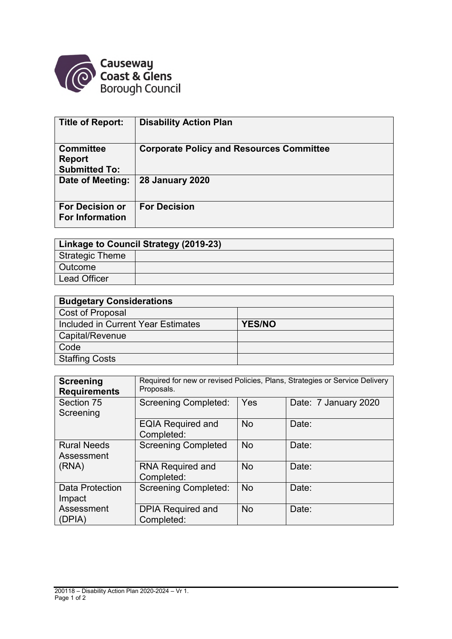

| <b>Title of Report:</b>                                   | <b>Disability Action Plan</b>                   |
|-----------------------------------------------------------|-------------------------------------------------|
| <b>Committee</b><br><b>Report</b><br><b>Submitted To:</b> | <b>Corporate Policy and Resources Committee</b> |
| Date of Meeting:                                          | <b>28 January 2020</b>                          |
| <b>For Decision or</b><br><b>For Information</b>          | <b>For Decision</b>                             |

| Linkage to Council Strategy (2019-23) |  |  |  |  |
|---------------------------------------|--|--|--|--|
| Strategic Theme                       |  |  |  |  |
| <b>Outcome</b>                        |  |  |  |  |
| <b>Lead Officer</b>                   |  |  |  |  |

| <b>Budgetary Considerations</b>    |               |  |  |  |
|------------------------------------|---------------|--|--|--|
| Cost of Proposal                   |               |  |  |  |
| Included in Current Year Estimates | <b>YES/NO</b> |  |  |  |
| Capital/Revenue                    |               |  |  |  |
| Code                               |               |  |  |  |
| <b>Staffing Costs</b>              |               |  |  |  |

| <b>Screening</b><br><b>Requirements</b> | Required for new or revised Policies, Plans, Strategies or Service Delivery<br>Proposals. |           |                      |  |  |  |
|-----------------------------------------|-------------------------------------------------------------------------------------------|-----------|----------------------|--|--|--|
| Section 75<br>Screening                 | <b>Screening Completed:</b>                                                               | Yes       | Date: 7 January 2020 |  |  |  |
|                                         | <b>EQIA Required and</b><br>Completed:                                                    | <b>No</b> | Date:                |  |  |  |
| <b>Rural Needs</b><br>Assessment        | <b>Screening Completed</b>                                                                | <b>No</b> | Date:                |  |  |  |
| (RNA)                                   | <b>RNA Required and</b><br>Completed:                                                     | <b>No</b> | Date:                |  |  |  |
| Data Protection<br>Impact               | <b>Screening Completed:</b>                                                               | <b>No</b> | Date:                |  |  |  |
| Assessment<br>(DPIA)                    | <b>DPIA Required and</b><br>Completed:                                                    | <b>No</b> | Date:                |  |  |  |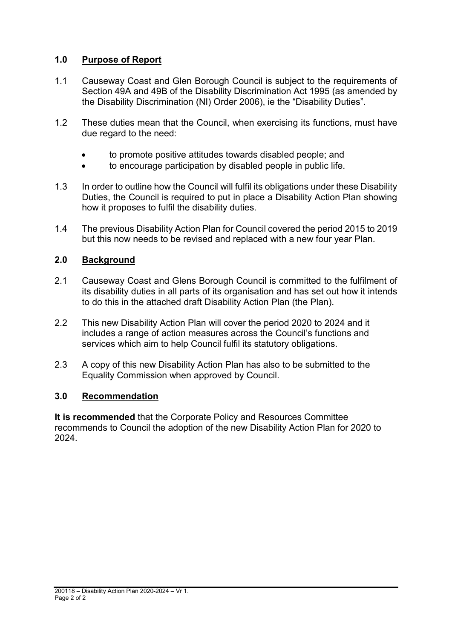#### **1.0 Purpose of Report**

- 1.1 Causeway Coast and Glen Borough Council is subject to the requirements of Section 49A and 49B of the Disability Discrimination Act 1995 (as amended by the Disability Discrimination (NI) Order 2006), ie the "Disability Duties".
- 1.2 These duties mean that the Council, when exercising its functions, must have due regard to the need:
	- to promote positive attitudes towards disabled people; and
	- to encourage participation by disabled people in public life.
- 1.3 In order to outline how the Council will fulfil its obligations under these Disability Duties, the Council is required to put in place a Disability Action Plan showing how it proposes to fulfil the disability duties.
- 1.4 The previous Disability Action Plan for Council covered the period 2015 to 2019 but this now needs to be revised and replaced with a new four year Plan.

#### **2.0 Background**

- 2.1 Causeway Coast and Glens Borough Council is committed to the fulfilment of its disability duties in all parts of its organisation and has set out how it intends to do this in the attached draft Disability Action Plan (the Plan).
- 2.2 This new Disability Action Plan will cover the period 2020 to 2024 and it includes a range of action measures across the Council's functions and services which aim to help Council fulfil its statutory obligations.
- 2.3 A copy of this new Disability Action Plan has also to be submitted to the Equality Commission when approved by Council.

#### **3.0 Recommendation**

**It is recommended** that the Corporate Policy and Resources Committee recommends to Council the adoption of the new Disability Action Plan for 2020 to 2024.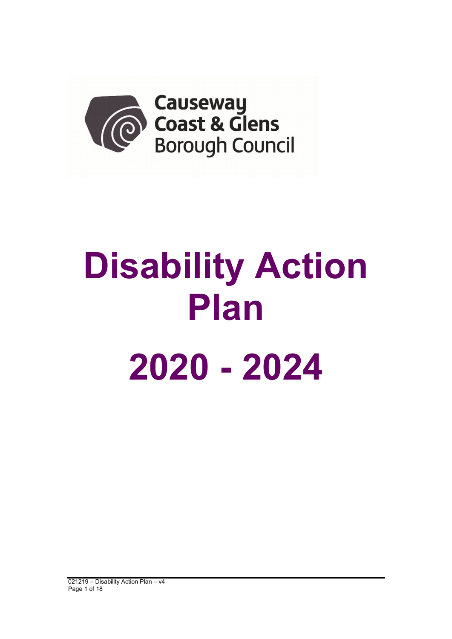

# **Disability Action Plan 2020 - 2024**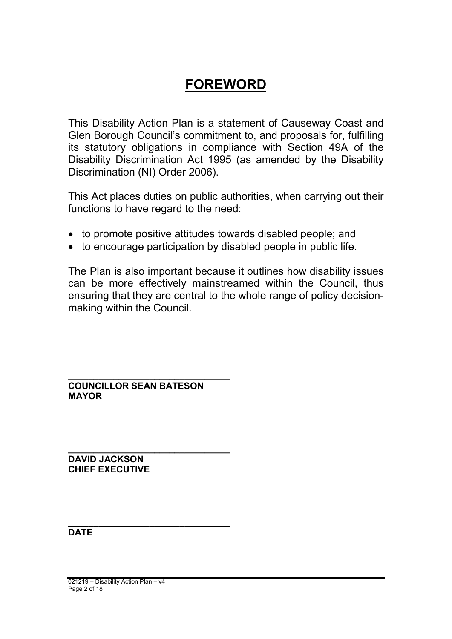## **FOREWORD**

This Disability Action Plan is a statement of Causeway Coast and Glen Borough Council's commitment to, and proposals for, fulfilling its statutory obligations in compliance with Section 49A of the Disability Discrimination Act 1995 (as amended by the Disability Discrimination (NI) Order 2006).

This Act places duties on public authorities, when carrying out their functions to have regard to the need:

- to promote positive attitudes towards disabled people; and
- to encourage participation by disabled people in public life.

The Plan is also important because it outlines how disability issues can be more effectively mainstreamed within the Council, thus ensuring that they are central to the whole range of policy decisionmaking within the Council.

**\_\_\_\_\_\_\_\_\_\_\_\_\_\_\_\_\_\_\_\_\_\_\_\_\_\_\_\_\_\_\_\_ COUNCILLOR SEAN BATESON MAYOR**

**\_\_\_\_\_\_\_\_\_\_\_\_\_\_\_\_\_\_\_\_\_\_\_\_\_\_\_\_\_\_\_\_**

**DAVID JACKSON CHIEF EXECUTIVE**

**\_\_\_\_\_\_\_\_\_\_\_\_\_\_\_\_\_\_\_\_\_\_\_\_\_\_\_\_\_\_\_\_ DATE**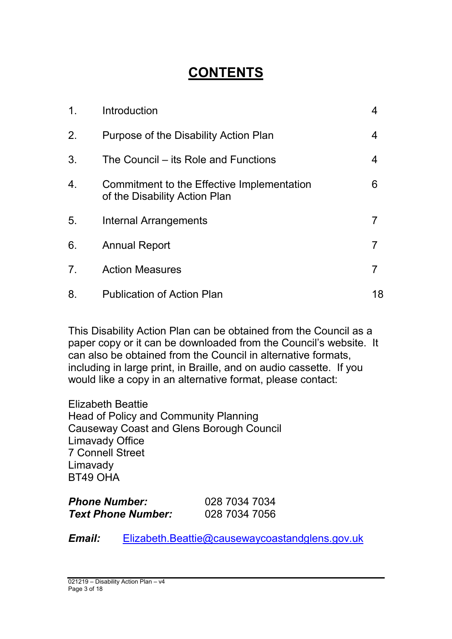# **CONTENTS**

| $\mathbf{1}$ . | Introduction                                                                | 4  |
|----------------|-----------------------------------------------------------------------------|----|
| 2.             | Purpose of the Disability Action Plan                                       | 4  |
| 3.             | The Council – its Role and Functions                                        | 4  |
| 4.             | Commitment to the Effective Implementation<br>of the Disability Action Plan | 6  |
| 5.             | Internal Arrangements                                                       |    |
| 6.             | <b>Annual Report</b>                                                        | 7  |
| 7 <sub>1</sub> | <b>Action Measures</b>                                                      | 7  |
| 8.             | <b>Publication of Action Plan</b>                                           | 18 |

This Disability Action Plan can be obtained from the Council as a paper copy or it can be downloaded from the Council's website. It can also be obtained from the Council in alternative formats, including in large print, in Braille, and on audio cassette. If you would like a copy in an alternative format, please contact:

Elizabeth Beattie Head of Policy and Community Planning Causeway Coast and Glens Borough Council Limavady Office 7 Connell Street Limavady BT49 OHA

| <b>Phone Number:</b>      | 028 7034 7034 |
|---------------------------|---------------|
| <b>Text Phone Number:</b> | 028 7034 7056 |

*Email:* Elizabeth.Beattie@causewaycoastandglens.gov.uk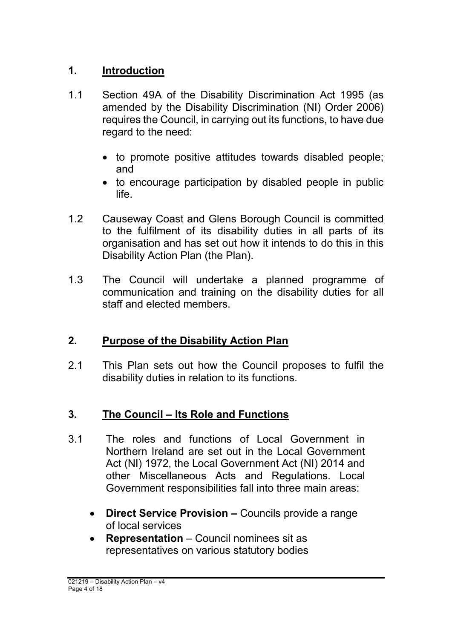### **1. Introduction**

- 1.1 Section 49A of the Disability Discrimination Act 1995 (as amended by the Disability Discrimination (NI) Order 2006) requires the Council, in carrying out its functions, to have due regard to the need:
	- to promote positive attitudes towards disabled people; and
	- to encourage participation by disabled people in public life.
- 1.2 Causeway Coast and Glens Borough Council is committed to the fulfilment of its disability duties in all parts of its organisation and has set out how it intends to do this in this Disability Action Plan (the Plan).
- 1.3 The Council will undertake a planned programme of communication and training on the disability duties for all staff and elected members.

## **2. Purpose of the Disability Action Plan**

2.1 This Plan sets out how the Council proposes to fulfil the disability duties in relation to its functions.

## **3. The Council – Its Role and Functions**

- 3.1 The roles and functions of Local Government in Northern Ireland are set out in the Local Government Act (NI) 1972, the Local Government Act (NI) 2014 and other Miscellaneous Acts and Regulations. Local Government responsibilities fall into three main areas:
	- **Direct Service Provision –** Councils provide a range of local services
	- **Representation** Council nominees sit as representatives on various statutory bodies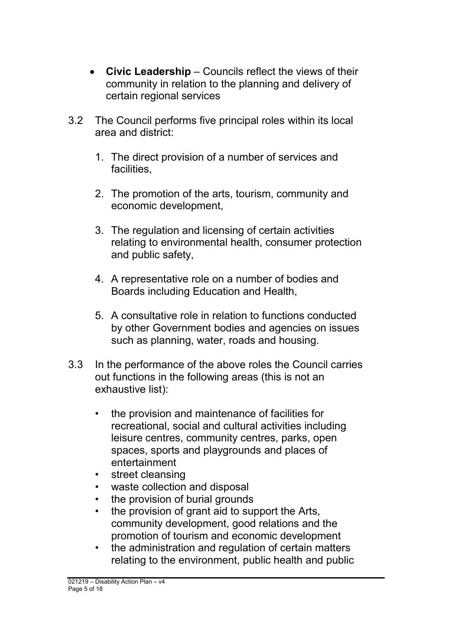- **Civic Leadership** Councils reflect the views of their community in relation to the planning and delivery of certain regional services
- 3.2 The Council performs five principal roles within its local area and district:
	- 1. The direct provision of a number of services and facilities,
	- 2. The promotion of the arts, tourism, community and economic development,
	- 3. The regulation and licensing of certain activities relating to environmental health, consumer protection and public safety,
	- 4. A representative role on a number of bodies and Boards including Education and Health,
	- 5. A consultative role in relation to functions conducted by other Government bodies and agencies on issues such as planning, water, roads and housing.
- 3.3 In the performance of the above roles the Council carries out functions in the following areas (this is not an exhaustive list):
	- the provision and maintenance of facilities for recreational, social and cultural activities including leisure centres, community centres, parks, open spaces, sports and playgrounds and places of entertainment
	- street cleansing
	- waste collection and disposal
	- the provision of burial grounds
	- the provision of grant aid to support the Arts, community development, good relations and the promotion of tourism and economic development
	- the administration and regulation of certain matters relating to the environment, public health and public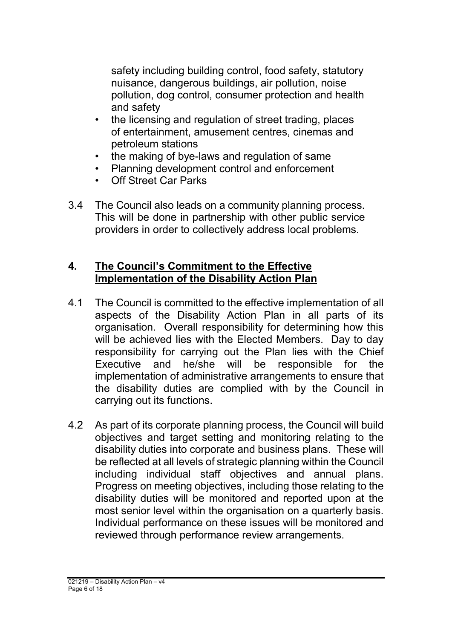safety including building control, food safety, statutory nuisance, dangerous buildings, air pollution, noise pollution, dog control, consumer protection and health and safety

- the licensing and regulation of street trading, places of entertainment, amusement centres, cinemas and petroleum stations
- the making of bye-laws and regulation of same
- Planning development control and enforcement
- Off Street Car Parks
- 3.4 The Council also leads on a community planning process. This will be done in partnership with other public service providers in order to collectively address local problems.

#### **4. The Council's Commitment to the Effective Implementation of the Disability Action Plan**

- 4.1 The Council is committed to the effective implementation of all aspects of the Disability Action Plan in all parts of its organisation. Overall responsibility for determining how this will be achieved lies with the Elected Members. Day to day responsibility for carrying out the Plan lies with the Chief Executive and he/she will be responsible for the implementation of administrative arrangements to ensure that the disability duties are complied with by the Council in carrying out its functions.
- 4.2 As part of its corporate planning process, the Council will build objectives and target setting and monitoring relating to the disability duties into corporate and business plans. These will be reflected at all levels of strategic planning within the Council including individual staff objectives and annual plans. Progress on meeting objectives, including those relating to the disability duties will be monitored and reported upon at the most senior level within the organisation on a quarterly basis. Individual performance on these issues will be monitored and reviewed through performance review arrangements.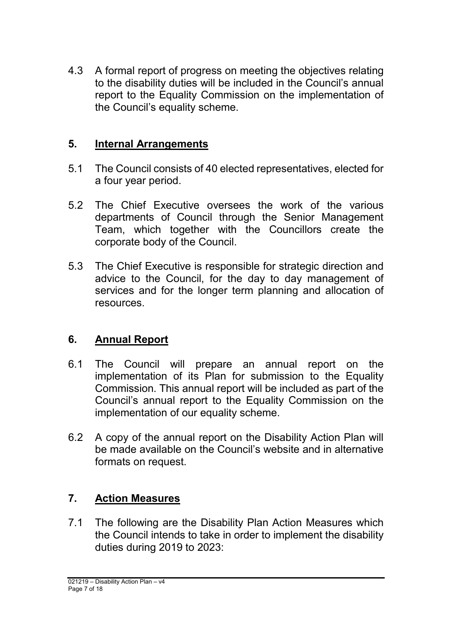4.3 A formal report of progress on meeting the objectives relating to the disability duties will be included in the Council's annual report to the Equality Commission on the implementation of the Council's equality scheme.

#### **5. Internal Arrangements**

- 5.1 The Council consists of 40 elected representatives, elected for a four year period.
- 5.2 The Chief Executive oversees the work of the various departments of Council through the Senior Management Team, which together with the Councillors create the corporate body of the Council.
- 5.3 The Chief Executive is responsible for strategic direction and advice to the Council, for the day to day management of services and for the longer term planning and allocation of resources.

### **6. Annual Report**

- 6.1 The Council will prepare an annual report on the implementation of its Plan for submission to the Equality Commission. This annual report will be included as part of the Council's annual report to the Equality Commission on the implementation of our equality scheme.
- 6.2 A copy of the annual report on the Disability Action Plan will be made available on the Council's website and in alternative formats on request.

### **7. Action Measures**

7.1 The following are the Disability Plan Action Measures which the Council intends to take in order to implement the disability duties during 2019 to 2023: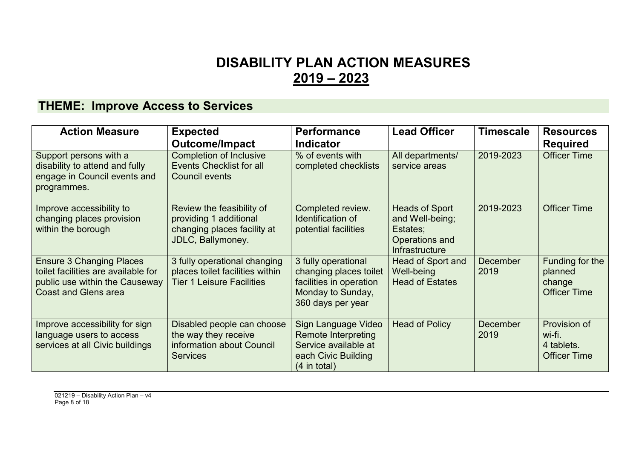## **DISABILITY PLAN ACTION MEASURES 2019 – 2023**

## **THEME: Improve Access to Services**

| <b>Action Measure</b>                                                                                                                   | <b>Expected</b><br><b>Outcome/Impact</b>                                                                | <b>Performance</b><br><b>Indicator</b>                                                                             | <b>Lead Officer</b>                                                                      | <b>Timescale</b>        | <b>Resources</b><br><b>Required</b>                         |
|-----------------------------------------------------------------------------------------------------------------------------------------|---------------------------------------------------------------------------------------------------------|--------------------------------------------------------------------------------------------------------------------|------------------------------------------------------------------------------------------|-------------------------|-------------------------------------------------------------|
| Support persons with a<br>disability to attend and fully<br>engage in Council events and<br>programmes.                                 | <b>Completion of Inclusive</b><br><b>Events Checklist for all</b><br><b>Council events</b>              | % of events with<br>completed checklists                                                                           | All departments/<br>service areas                                                        | 2019-2023               | <b>Officer Time</b>                                         |
| Improve accessibility to<br>changing places provision<br>within the borough                                                             | Review the feasibility of<br>providing 1 additional<br>changing places facility at<br>JDLC, Ballymoney. | Completed review.<br>Identification of<br>potential facilities                                                     | <b>Heads of Sport</b><br>and Well-being;<br>Estates;<br>Operations and<br>Infrastructure | 2019-2023               | <b>Officer Time</b>                                         |
| <b>Ensure 3 Changing Places</b><br>toilet facilities are available for<br>public use within the Causeway<br><b>Coast and Glens area</b> | 3 fully operational changing<br>places toilet facilities within<br><b>Tier 1 Leisure Facilities</b>     | 3 fully operational<br>changing places toilet<br>facilities in operation<br>Monday to Sunday,<br>360 days per year | Head of Sport and<br>Well-being<br><b>Head of Estates</b>                                | <b>December</b><br>2019 | Funding for the<br>planned<br>change<br><b>Officer Time</b> |
| Improve accessibility for sign<br>language users to access<br>services at all Civic buildings                                           | Disabled people can choose<br>the way they receive<br>information about Council<br><b>Services</b>      | Sign Language Video<br>Remote Interpreting<br>Service available at<br>each Civic Building<br>$(4$ in total)        | <b>Head of Policy</b>                                                                    | <b>December</b><br>2019 | Provision of<br>wi-fi.<br>4 tablets.<br><b>Officer Time</b> |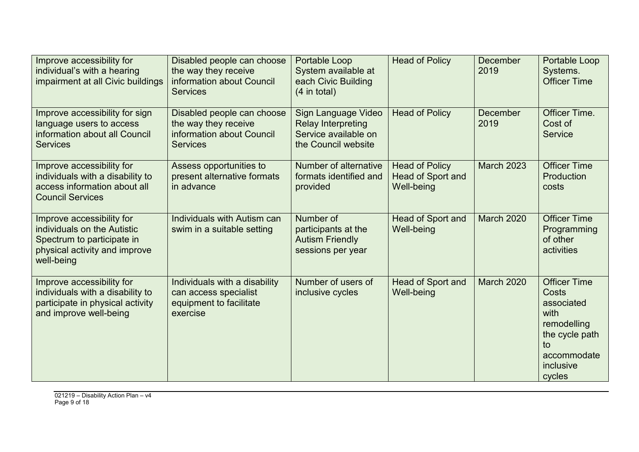| Improve accessibility for<br>individual's with a hearing<br>impairment at all Civic buildings                                         | Disabled people can choose<br>the way they receive<br>information about Council<br><b>Services</b> | Portable Loop<br>System available at<br>each Civic Building<br>$(4$ in total)                   | <b>Head of Policy</b>                                           | <b>December</b><br>2019 | Portable Loop<br>Systems.<br><b>Officer Time</b>                                                                                |
|---------------------------------------------------------------------------------------------------------------------------------------|----------------------------------------------------------------------------------------------------|-------------------------------------------------------------------------------------------------|-----------------------------------------------------------------|-------------------------|---------------------------------------------------------------------------------------------------------------------------------|
| Improve accessibility for sign<br>language users to access<br>information about all Council<br><b>Services</b>                        | Disabled people can choose<br>the way they receive<br>information about Council<br><b>Services</b> | Sign Language Video<br><b>Relay Interpreting</b><br>Service available on<br>the Council website | <b>Head of Policy</b>                                           | <b>December</b><br>2019 | Officer Time.<br>Cost of<br><b>Service</b>                                                                                      |
| Improve accessibility for<br>individuals with a disability to<br>access information about all<br><b>Council Services</b>              | Assess opportunities to<br>present alternative formats<br>in advance                               | Number of alternative<br>formats identified and<br>provided                                     | <b>Head of Policy</b><br><b>Head of Sport and</b><br>Well-being | <b>March 2023</b>       | <b>Officer Time</b><br>Production<br>costs                                                                                      |
| Improve accessibility for<br>individuals on the Autistic<br>Spectrum to participate in<br>physical activity and improve<br>well-being | Individuals with Autism can<br>swim in a suitable setting                                          | Number of<br>participants at the<br><b>Autism Friendly</b><br>sessions per year                 | Head of Sport and<br>Well-being                                 | <b>March 2020</b>       | <b>Officer Time</b><br>Programming<br>of other<br>activities                                                                    |
| Improve accessibility for<br>individuals with a disability to<br>participate in physical activity<br>and improve well-being           | Individuals with a disability<br>can access specialist<br>equipment to facilitate<br>exercise      | Number of users of<br>inclusive cycles                                                          | Head of Sport and<br><b>Well-being</b>                          | <b>March 2020</b>       | <b>Officer Time</b><br>Costs<br>associated<br>with<br>remodelling<br>the cycle path<br>to<br>accommodate<br>inclusive<br>cycles |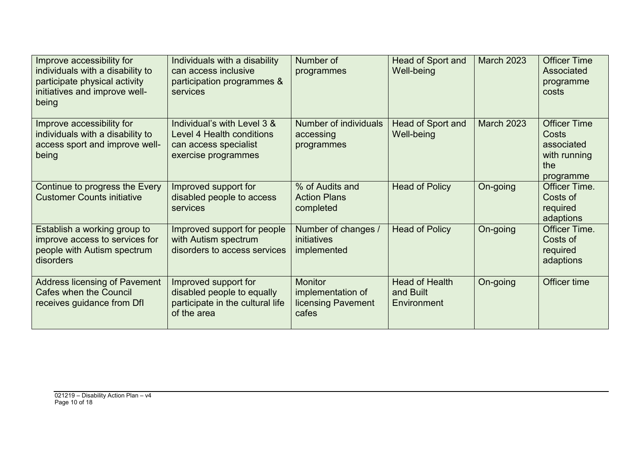| Improve accessibility for<br>individuals with a disability to<br>participate physical activity<br>initiatives and improve well-<br>being | Individuals with a disability<br>can access inclusive<br>participation programmes &<br>services          | Number of<br>programmes                                            | <b>Head of Sport and</b><br>Well-being            | <b>March 2023</b> | <b>Officer Time</b><br>Associated<br>programme<br>costs                               |
|------------------------------------------------------------------------------------------------------------------------------------------|----------------------------------------------------------------------------------------------------------|--------------------------------------------------------------------|---------------------------------------------------|-------------------|---------------------------------------------------------------------------------------|
| Improve accessibility for<br>individuals with a disability to<br>access sport and improve well-<br>being                                 | Individual's with Level 3 &<br>Level 4 Health conditions<br>can access specialist<br>exercise programmes | Number of individuals<br>accessing<br>programmes                   | Head of Sport and<br>Well-being                   | <b>March 2023</b> | <b>Officer Time</b><br><b>Costs</b><br>associated<br>with running<br>the<br>programme |
| Continue to progress the Every<br><b>Customer Counts initiative</b>                                                                      | Improved support for<br>disabled people to access<br>services                                            | % of Audits and<br><b>Action Plans</b><br>completed                | <b>Head of Policy</b>                             | On-going          | Officer Time.<br>Costs of<br>required<br>adaptions                                    |
| Establish a working group to<br>improve access to services for<br>people with Autism spectrum<br>disorders                               | Improved support for people<br>with Autism spectrum<br>disorders to access services                      | Number of changes /<br>initiatives<br>implemented                  | <b>Head of Policy</b>                             | On-going          | Officer Time.<br>Costs of<br>required<br>adaptions                                    |
| <b>Address licensing of Pavement</b><br><b>Cafes when the Council</b><br>receives guidance from DfI                                      | Improved support for<br>disabled people to equally<br>participate in the cultural life<br>of the area    | <b>Monitor</b><br>implementation of<br>licensing Pavement<br>cafes | <b>Head of Health</b><br>and Built<br>Environment | On-going          | Officer time                                                                          |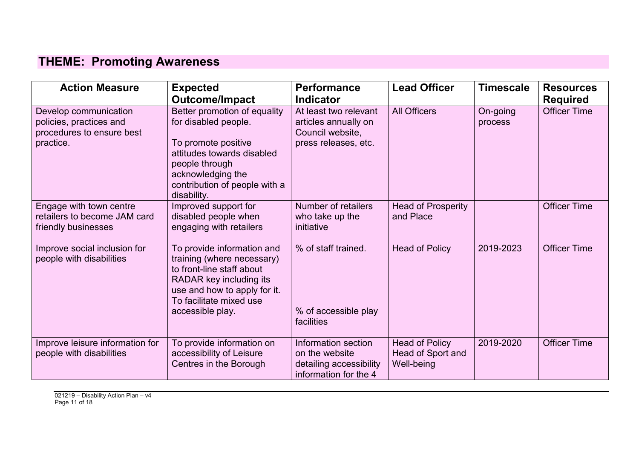## **THEME: Promoting Awareness**

| <b>Action Measure</b>                                                                      | <b>Expected</b><br><b>Outcome/Impact</b>                                                                                                                                                         | <b>Performance</b><br><b>Indicator</b>                                                    | <b>Lead Officer</b>                                      | <b>Timescale</b>    | <b>Resources</b><br><b>Required</b> |
|--------------------------------------------------------------------------------------------|--------------------------------------------------------------------------------------------------------------------------------------------------------------------------------------------------|-------------------------------------------------------------------------------------------|----------------------------------------------------------|---------------------|-------------------------------------|
| Develop communication<br>policies, practices and<br>procedures to ensure best<br>practice. | Better promotion of equality<br>for disabled people.<br>To promote positive<br>attitudes towards disabled<br>people through<br>acknowledging the<br>contribution of people with a<br>disability. | At least two relevant<br>articles annually on<br>Council website,<br>press releases, etc. | <b>All Officers</b>                                      | On-going<br>process | <b>Officer Time</b>                 |
| Engage with town centre<br>retailers to become JAM card<br>friendly businesses             | Improved support for<br>disabled people when<br>engaging with retailers                                                                                                                          | Number of retailers<br>who take up the<br>initiative                                      | <b>Head of Prosperity</b><br>and Place                   |                     | <b>Officer Time</b>                 |
| Improve social inclusion for<br>people with disabilities                                   | To provide information and<br>training (where necessary)<br>to front-line staff about<br>RADAR key including its<br>use and how to apply for it.<br>To facilitate mixed use<br>accessible play.  | % of staff trained.<br>% of accessible play<br>facilities                                 | <b>Head of Policy</b>                                    | 2019-2023           | <b>Officer Time</b>                 |
| Improve leisure information for<br>people with disabilities                                | To provide information on<br>accessibility of Leisure<br>Centres in the Borough                                                                                                                  | Information section<br>on the website<br>detailing accessibility<br>information for the 4 | <b>Head of Policy</b><br>Head of Sport and<br>Well-being | 2019-2020           | <b>Officer Time</b>                 |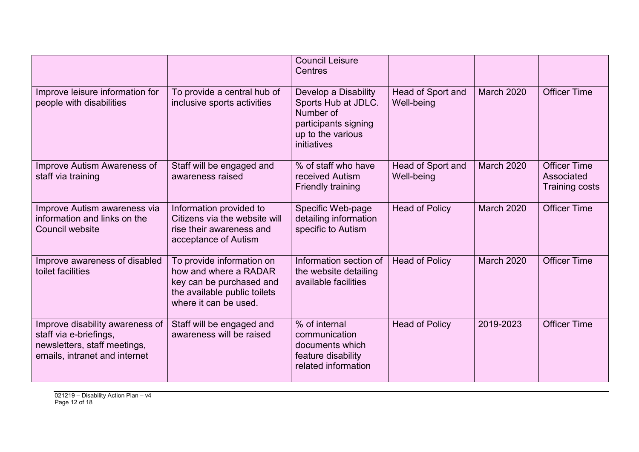|                                                                                                                            |                                                                                                                                         | <b>Council Leisure</b><br>Centres                                                                                    |                                 |                   |                                                            |
|----------------------------------------------------------------------------------------------------------------------------|-----------------------------------------------------------------------------------------------------------------------------------------|----------------------------------------------------------------------------------------------------------------------|---------------------------------|-------------------|------------------------------------------------------------|
| Improve leisure information for<br>people with disabilities                                                                | To provide a central hub of<br>inclusive sports activities                                                                              | Develop a Disability<br>Sports Hub at JDLC.<br>Number of<br>participants signing<br>up to the various<br>initiatives | Head of Sport and<br>Well-being | <b>March 2020</b> | <b>Officer Time</b>                                        |
| Improve Autism Awareness of<br>staff via training                                                                          | Staff will be engaged and<br>awareness raised                                                                                           | % of staff who have<br>received Autism<br>Friendly training                                                          | Head of Sport and<br>Well-being | March 2020        | <b>Officer Time</b><br>Associated<br><b>Training costs</b> |
| Improve Autism awareness via<br>information and links on the<br>Council website                                            | Information provided to<br>Citizens via the website will<br>rise their awareness and<br>acceptance of Autism                            | Specific Web-page<br>detailing information<br>specific to Autism                                                     | <b>Head of Policy</b>           | <b>March 2020</b> | <b>Officer Time</b>                                        |
| Improve awareness of disabled<br>toilet facilities                                                                         | To provide information on<br>how and where a RADAR<br>key can be purchased and<br>the available public toilets<br>where it can be used. | Information section of<br>the website detailing<br>available facilities                                              | <b>Head of Policy</b>           | March 2020        | <b>Officer Time</b>                                        |
| Improve disability awareness of<br>staff via e-briefings,<br>newsletters, staff meetings,<br>emails, intranet and internet | Staff will be engaged and<br>awareness will be raised                                                                                   | % of internal<br>communication<br>documents which<br>feature disability<br>related information                       | <b>Head of Policy</b>           | 2019-2023         | <b>Officer Time</b>                                        |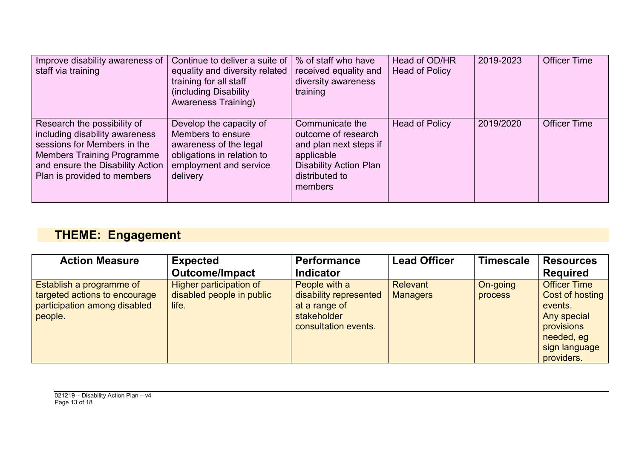| Improve disability awareness of<br>staff via training                                                                                                                                                | Continue to deliver a suite of<br>equality and diversity related<br>training for all staff<br>(including Disability)<br><b>Awareness Training)</b> | % of staff who have<br>received equality and<br>diversity awareness<br>training                                                              | Head of OD/HR<br><b>Head of Policy</b> | 2019-2023 | <b>Officer Time</b> |
|------------------------------------------------------------------------------------------------------------------------------------------------------------------------------------------------------|----------------------------------------------------------------------------------------------------------------------------------------------------|----------------------------------------------------------------------------------------------------------------------------------------------|----------------------------------------|-----------|---------------------|
| Research the possibility of<br>including disability awareness<br>sessions for Members in the<br><b>Members Training Programme</b><br>and ensure the Disability Action<br>Plan is provided to members | Develop the capacity of<br>Members to ensure<br>awareness of the legal<br>obligations in relation to<br>employment and service<br>delivery         | Communicate the<br>outcome of research<br>and plan next steps if<br>applicable<br><b>Disability Action Plan</b><br>distributed to<br>members | Head of Policy                         | 2019/2020 | <b>Officer Time</b> |

# **THEME: Engagement**

| <b>Action Measure</b>                                                                                | <b>Expected</b>                                                      | <b>Performance</b>                                                                              | <b>Lead Officer</b>         | <b>Timescale</b>    | <b>Resources</b>                                                                                                            |
|------------------------------------------------------------------------------------------------------|----------------------------------------------------------------------|-------------------------------------------------------------------------------------------------|-----------------------------|---------------------|-----------------------------------------------------------------------------------------------------------------------------|
|                                                                                                      | <b>Outcome/Impact</b>                                                | <b>Indicator</b>                                                                                |                             |                     | <b>Required</b>                                                                                                             |
| Establish a programme of<br>targeted actions to encourage<br>participation among disabled<br>people. | <b>Higher participation of</b><br>disabled people in public<br>life. | People with a<br>disability represented<br>at a range of<br>stakeholder<br>consultation events. | Relevant<br><b>Managers</b> | On-going<br>process | <b>Officer Time</b><br>Cost of hosting<br>events.<br>Any special<br>provisions<br>needed, eg<br>sign language<br>providers. |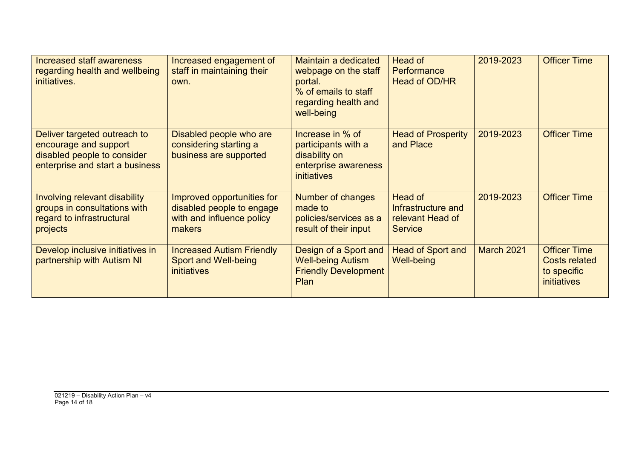| <b>Increased staff awareness</b><br>regarding health and wellbeing<br>initiatives.                                      | Increased engagement of<br>staff in maintaining their<br>own.                                  | Maintain a dedicated<br>webpage on the staff<br>portal.<br>% of emails to staff<br>regarding health and<br>well-being | Head of<br>Performance<br><b>Head of OD/HR</b>                      | 2019-2023         | <b>Officer Time</b>                                                       |
|-------------------------------------------------------------------------------------------------------------------------|------------------------------------------------------------------------------------------------|-----------------------------------------------------------------------------------------------------------------------|---------------------------------------------------------------------|-------------------|---------------------------------------------------------------------------|
| Deliver targeted outreach to<br>encourage and support<br>disabled people to consider<br>enterprise and start a business | Disabled people who are<br>considering starting a<br>business are supported                    | Increase in % of<br>participants with a<br>disability on<br>enterprise awareness<br><i>initiatives</i>                | <b>Head of Prosperity</b><br>and Place                              | 2019-2023         | <b>Officer Time</b>                                                       |
| Involving relevant disability<br>groups in consultations with<br>regard to infrastructural<br>projects                  | Improved opportunities for<br>disabled people to engage<br>with and influence policy<br>makers | Number of changes<br>made to<br>policies/services as a<br>result of their input                                       | Head of<br>Infrastructure and<br>relevant Head of<br><b>Service</b> | 2019-2023         | <b>Officer Time</b>                                                       |
| Develop inclusive initiatives in<br>partnership with Autism NI                                                          | <b>Increased Autism Friendly</b><br><b>Sport and Well-being</b><br><i>initiatives</i>          | Design of a Sport and<br><b>Well-being Autism</b><br><b>Friendly Development</b><br><b>Plan</b>                       | <b>Head of Sport and</b><br><b>Well-being</b>                       | <b>March 2021</b> | <b>Officer Time</b><br><b>Costs related</b><br>to specific<br>initiatives |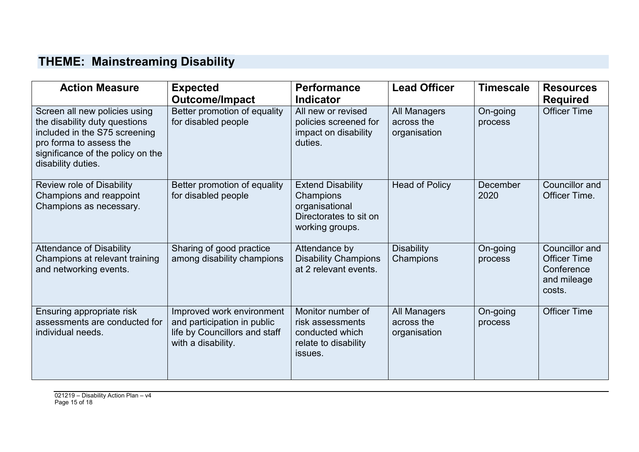## **THEME: Mainstreaming Disability**

| <b>Action Measure</b>                                                                                                                                                                 | <b>Expected</b><br><b>Outcome/Impact</b>                                                                        | <b>Performance</b><br><b>Indicator</b>                                                               | <b>Lead Officer</b>                        | <b>Timescale</b>    | <b>Resources</b><br><b>Required</b>                                          |
|---------------------------------------------------------------------------------------------------------------------------------------------------------------------------------------|-----------------------------------------------------------------------------------------------------------------|------------------------------------------------------------------------------------------------------|--------------------------------------------|---------------------|------------------------------------------------------------------------------|
| Screen all new policies using<br>the disability duty questions<br>included in the S75 screening<br>pro forma to assess the<br>significance of the policy on the<br>disability duties. | Better promotion of equality<br>for disabled people                                                             | All new or revised<br>policies screened for<br>impact on disability<br>duties.                       | All Managers<br>across the<br>organisation | On-going<br>process | <b>Officer Time</b>                                                          |
| Review role of Disability<br>Champions and reappoint<br>Champions as necessary.                                                                                                       | Better promotion of equality<br>for disabled people                                                             | <b>Extend Disability</b><br>Champions<br>organisational<br>Directorates to sit on<br>working groups. | <b>Head of Policy</b>                      | December<br>2020    | Councillor and<br>Officer Time.                                              |
| <b>Attendance of Disability</b><br>Champions at relevant training<br>and networking events.                                                                                           | Sharing of good practice<br>among disability champions                                                          | Attendance by<br><b>Disability Champions</b><br>at 2 relevant events.                                | <b>Disability</b><br>Champions             | On-going<br>process | Councillor and<br><b>Officer Time</b><br>Conference<br>and mileage<br>costs. |
| Ensuring appropriate risk<br>assessments are conducted for<br>individual needs.                                                                                                       | Improved work environment<br>and participation in public<br>life by Councillors and staff<br>with a disability. | Monitor number of<br>risk assessments<br>conducted which<br>relate to disability<br>issues.          | All Managers<br>across the<br>organisation | On-going<br>process | <b>Officer Time</b>                                                          |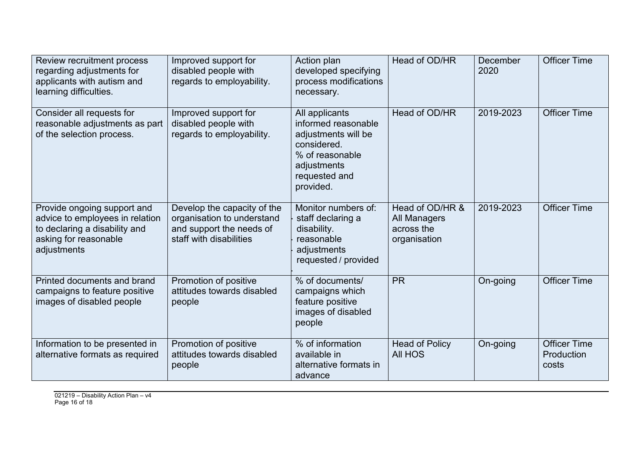| Review recruitment process<br>regarding adjustments for<br>applicants with autism and<br>learning difficulties.                         | Improved support for<br>disabled people with<br>regards to employability.                                        | Action plan<br>developed specifying<br>process modifications<br>necessary.                                                                  | Head of OD/HR                                                 | December<br>2020 | <b>Officer Time</b>                        |
|-----------------------------------------------------------------------------------------------------------------------------------------|------------------------------------------------------------------------------------------------------------------|---------------------------------------------------------------------------------------------------------------------------------------------|---------------------------------------------------------------|------------------|--------------------------------------------|
| Consider all requests for<br>reasonable adjustments as part<br>of the selection process.                                                | Improved support for<br>disabled people with<br>regards to employability.                                        | All applicants<br>informed reasonable<br>adjustments will be<br>considered.<br>% of reasonable<br>adjustments<br>requested and<br>provided. | Head of OD/HR                                                 | 2019-2023        | <b>Officer Time</b>                        |
| Provide ongoing support and<br>advice to employees in relation<br>to declaring a disability and<br>asking for reasonable<br>adjustments | Develop the capacity of the<br>organisation to understand<br>and support the needs of<br>staff with disabilities | Monitor numbers of:<br>staff declaring a<br>disability.<br>reasonable<br>adjustments<br>requested / provided                                | Head of OD/HR &<br>All Managers<br>across the<br>organisation | 2019-2023        | <b>Officer Time</b>                        |
| Printed documents and brand<br>campaigns to feature positive<br>images of disabled people                                               | Promotion of positive<br>attitudes towards disabled<br>people                                                    | % of documents/<br>campaigns which<br>feature positive<br>images of disabled<br>people                                                      | <b>PR</b>                                                     | On-going         | <b>Officer Time</b>                        |
| Information to be presented in<br>alternative formats as required                                                                       | Promotion of positive<br>attitudes towards disabled<br>people                                                    | % of information<br>available in<br>alternative formats in<br>advance                                                                       | <b>Head of Policy</b><br><b>All HOS</b>                       | On-going         | <b>Officer Time</b><br>Production<br>costs |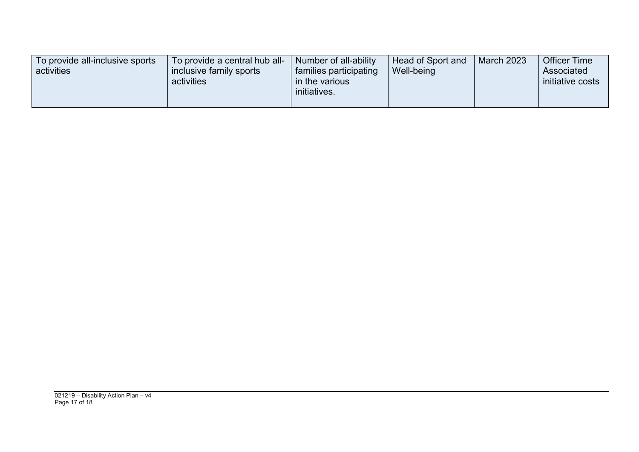| To provide all-inclusive sports<br>activities | To provide a central hub all-<br>inclusive family sports<br>activities | Number of all-ability<br>families participating<br>in the various<br>initiatives. | Head of Sport and<br>Well-being | <b>March 2023</b> | <b>Officer Time</b><br>Associated<br>initiative costs |
|-----------------------------------------------|------------------------------------------------------------------------|-----------------------------------------------------------------------------------|---------------------------------|-------------------|-------------------------------------------------------|
|-----------------------------------------------|------------------------------------------------------------------------|-----------------------------------------------------------------------------------|---------------------------------|-------------------|-------------------------------------------------------|